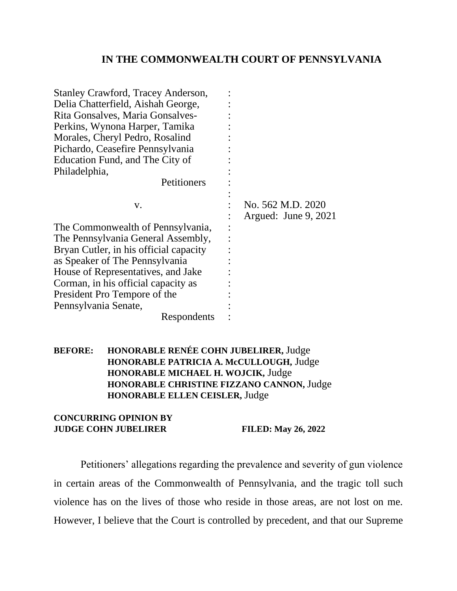## **IN THE COMMONWEALTH COURT OF PENNSYLVANIA**

| <b>Stanley Crawford, Tracey Anderson,</b><br>Delia Chatterfield, Aishah George,<br>Rita Gonsalves, Maria Gonsalves-<br>Perkins, Wynona Harper, Tamika<br>Morales, Cheryl Pedro, Rosalind<br>Pichardo, Ceasefire Pennsylvania<br>Education Fund, and The City of<br>Philadelphia,<br>Petitioners |                                           |
|-------------------------------------------------------------------------------------------------------------------------------------------------------------------------------------------------------------------------------------------------------------------------------------------------|-------------------------------------------|
| V.                                                                                                                                                                                                                                                                                              | No. 562 M.D. 2020<br>Argued: June 9, 2021 |
| The Commonwealth of Pennsylvania,                                                                                                                                                                                                                                                               |                                           |
| The Pennsylvania General Assembly,                                                                                                                                                                                                                                                              |                                           |
| Bryan Cutler, in his official capacity                                                                                                                                                                                                                                                          |                                           |
| as Speaker of The Pennsylvania                                                                                                                                                                                                                                                                  |                                           |
| House of Representatives, and Jake                                                                                                                                                                                                                                                              |                                           |
| Corman, in his official capacity as                                                                                                                                                                                                                                                             |                                           |
| President Pro Tempore of the                                                                                                                                                                                                                                                                    |                                           |
| Pennsylvania Senate,                                                                                                                                                                                                                                                                            |                                           |
| Respondents                                                                                                                                                                                                                                                                                     |                                           |

**BEFORE: HONORABLE RENÉE COHN JUBELIRER,** Judge **HONORABLE PATRICIA A. McCULLOUGH,** Judge **HONORABLE MICHAEL H. WOJCIK,** Judge **HONORABLE CHRISTINE FIZZANO CANNON,** Judge **HONORABLE ELLEN CEISLER,** Judge

## **CONCURRING OPINION BY JUDGE COHN JUBELIRER FILED: May 26, 2022**

Petitioners' allegations regarding the prevalence and severity of gun violence in certain areas of the Commonwealth of Pennsylvania, and the tragic toll such violence has on the lives of those who reside in those areas, are not lost on me. However, I believe that the Court is controlled by precedent, and that our Supreme